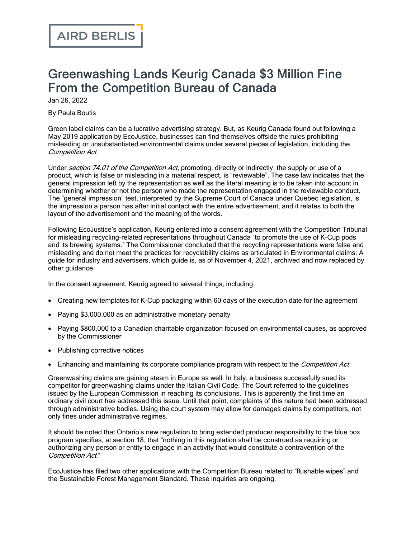## Greenwashing Lands Keurig Canada \$3 Million Fine From the Competition Bureau of Canada

Jan 26, 2022

By Paula Boutis

Green label claims can be a lucrative advertising strategy. But, as Keurig Canada found out following a May 2019 application by [EcoJustice,](https://ecojustice.ca/wp-content/uploads/2022/01/Ecojustice-and-University-of-Victoria-Environmental-Law-Centre-Application-for-Inquiry-into-Keurig-Canada-Inc.pdf) businesses can find themselves offside the rules prohibiting misleading or unsubstantiated environmental claims under several pieces of legislation, including the Competition Act.

Under section 74.01 of the [Competition](https://laws.justice.gc.ca/eng/acts/C-34/FullText.html#h-89169) Act, promoting, directly or indirectly, the supply or use of a product, which is false or misleading in a material respect, is "reviewable". The case law indicates that the general impression left by the representation as well as the literal meaning is to be taken into account in determining whether or not the person who made the representation engaged in the reviewable conduct. The "general [impression"](https://scc-csc.lexum.com/scc-csc/scc-csc/en/item/7994/index.do) test, interpreted by the Supreme Court of Canada under Quebec legislation, is the impression a person has after initial contact with the entire advertisement, and it relates to both the layout of the advertisement and the meaning of the words.

Following EcoJustice's application, Keurig entered into a consent [agreement](https://decisions.ct-tc.gc.ca/ct-tc/cdo/en/item/518827/index.do) with the Competition Tribunal for misleading recycling-related representations throughout Canada "to promote the use of K-Cup pods and its brewing systems." The Commissioner concluded that the recycling representations were false and misleading and do not meet the practices for recyclability claims as articulated in [Environmental](https://www.competitionbureau.gc.ca/eic/site/cb-bc.nsf/eng/02701.html) claims: A guide for industry and [advertisers](https://www.competitionbureau.gc.ca/eic/site/cb-bc.nsf/eng/02701.html), which guide is, as of November 4, 2021, archived and now replaced by other [guidance.](https://www.competitionbureau.gc.ca/eic/site/cb-bc.nsf/eng/04607.html)

In the consent agreement, Keurig agreed to several things, including:

- · Creating new templates for K-Cup packaging within 60 days of the execution date for the agreement
- · Paying \$3,000,000 as an administrative monetary penalty
- · Paying \$800,000 to a Canadian charitable organization focused on environmental causes, as approved by the Commissioner
- Publishing corrective notices
- Enhancing and maintaining its corporate compliance program with respect to the *Competition Act*

Greenwashing claims are gaining steam in Europe as well. In Italy, a business [successfully](https://www.cliffordchance.com/insights/resources/blogs/business-and-human-rights-insights/italys-first-greenwashing-case-between-corporates.html) sued its [competitor](https://www.cliffordchance.com/insights/resources/blogs/business-and-human-rights-insights/italys-first-greenwashing-case-between-corporates.html) for greenwashing claims under the Italian Civil Code. The Court referred to the [guidelines](https://eur-lex.europa.eu/legal-content/EN/TXT/PDF/) issued by the European [Commission](https://eur-lex.europa.eu/legal-content/EN/TXT/PDF/) in reaching its conclusions. This is apparently the first time an ordinary civil court has addressed this issue. Until that point, complaints of this nature had been addressed through administrative bodies. Using the court system may allow for damages claims by competitors, not only fines under administrative regimes.

It should be noted that Ontario's new [regulation](https://www.ontario.ca/laws/regulation/r21391#BK20) to bring extended producer responsibility to the blue box program specifies, at section 18, that "nothing in this regulation shall be construed as requiring or authorizing any person or entity to engage in an activity that would constitute a contravention of the Competition Act."

EcoJustice has filed two other applications with the Competition Bureau related to "flushable wipes" and the Sustainable Forest Management Standard. These inquiries are ongoing.